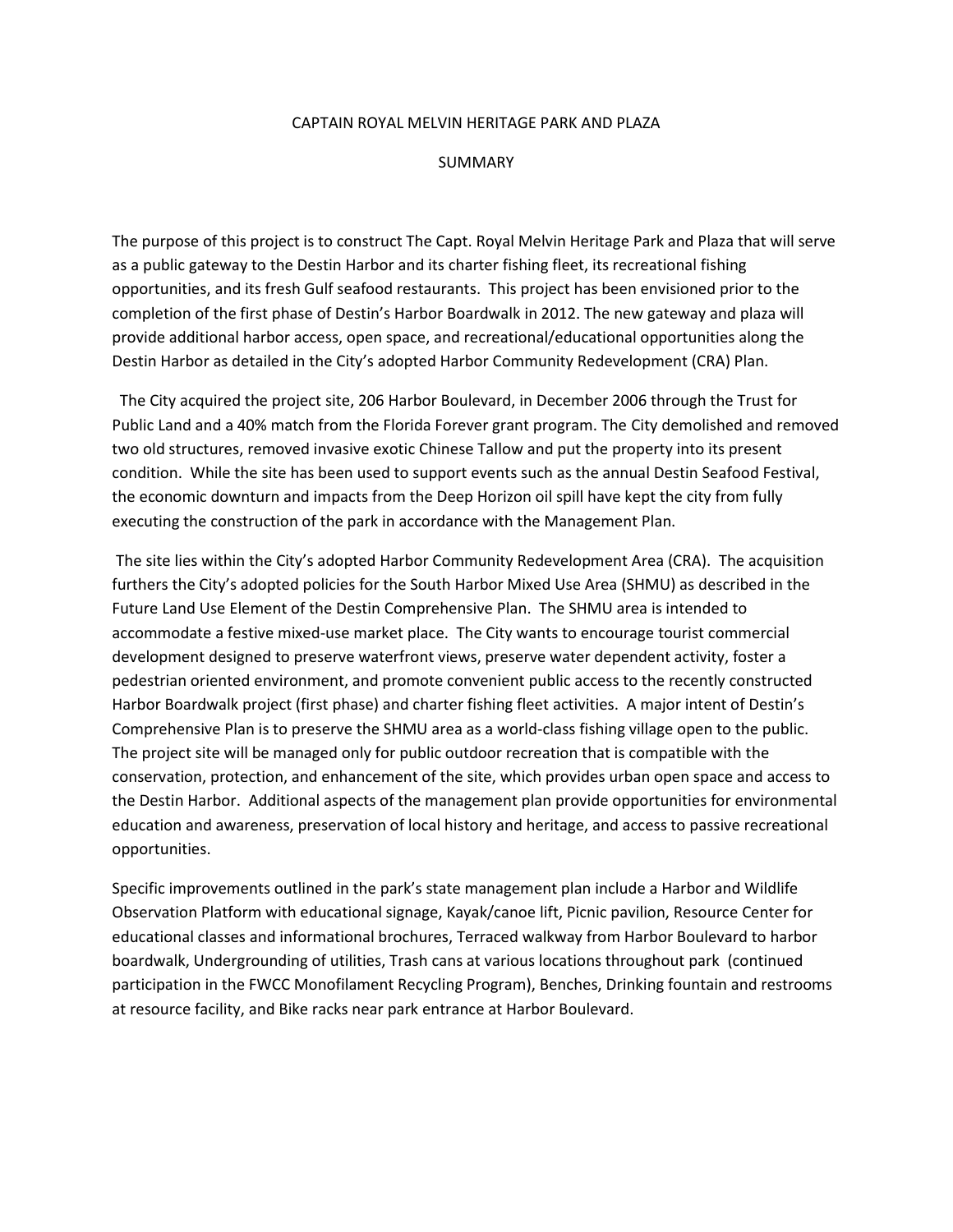## CAPTAIN ROYAL MELVIN HERITAGE PARK AND PLAZA

## SUMMARY

The purpose of this project is to construct The Capt. Royal Melvin Heritage Park and Plaza that will serve as a public gateway to the Destin Harbor and its charter fishing fleet, its recreational fishing opportunities, and its fresh Gulf seafood restaurants. This project has been envisioned prior to the completion of the first phase of Destin's Harbor Boardwalk in 2012. The new gateway and plaza will provide additional harbor access, open space, and recreational/educational opportunities along the Destin Harbor as detailed in the City's adopted Harbor Community Redevelopment (CRA) Plan.

 The City acquired the project site, 206 Harbor Boulevard, in December 2006 through the Trust for Public Land and a 40% match from the Florida Forever grant program. The City demolished and removed two old structures, removed invasive exotic Chinese Tallow and put the property into its present condition. While the site has been used to support events such as the annual Destin Seafood Festival, the economic downturn and impacts from the Deep Horizon oil spill have kept the city from fully executing the construction of the park in accordance with the Management Plan.

The site lies within the City's adopted Harbor Community Redevelopment Area (CRA). The acquisition furthers the City's adopted policies for the South Harbor Mixed Use Area (SHMU) as described in the Future Land Use Element of the Destin Comprehensive Plan. The SHMU area is intended to accommodate a festive mixed-use market place. The City wants to encourage tourist commercial development designed to preserve waterfront views, preserve water dependent activity, foster a pedestrian oriented environment, and promote convenient public access to the recently constructed Harbor Boardwalk project (first phase) and charter fishing fleet activities. A major intent of Destin's Comprehensive Plan is to preserve the SHMU area as a world-class fishing village open to the public. The project site will be managed only for public outdoor recreation that is compatible with the conservation, protection, and enhancement of the site, which provides urban open space and access to the Destin Harbor. Additional aspects of the management plan provide opportunities for environmental education and awareness, preservation of local history and heritage, and access to passive recreational opportunities.

Specific improvements outlined in the park's state management plan include a Harbor and Wildlife Observation Platform with educational signage, Kayak/canoe lift, Picnic pavilion, Resource Center for educational classes and informational brochures, Terraced walkway from Harbor Boulevard to harbor boardwalk, Undergrounding of utilities, Trash cans at various locations throughout park (continued participation in the FWCC Monofilament Recycling Program), Benches, Drinking fountain and restrooms at resource facility, and Bike racks near park entrance at Harbor Boulevard.